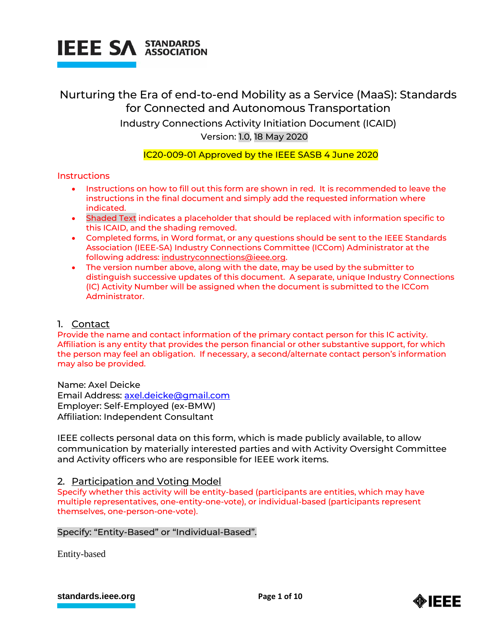

# Nurturing the Era of end-to-end Mobility as a Service (MaaS): Standards for Connected and Autonomous Transportation Industry Connections Activity Initiation Document (ICAID) Version: 1.0, 18 May 2020

# IC20-009-01 Approved by the IEEE SASB 4 June 2020

# **Instructions**

- **Instructions on how to fill out this form are shown in red. It is recommended to leave the** instructions in the final document and simply add the requested information where indicated.
- Shaded Text indicates a placeholder that should be replaced with information specific to this ICAID, and the shading removed.
- Completed forms, in Word format, or any questions should be sent to the IEEE Standards Association (IEEE-SA) Industry Connections Committee (ICCom) Administrator at the following address: [industryconnections@ieee.org.](mailto:industryconnections@ieee.org)
- The version number above, along with the date, may be used by the submitter to distinguish successive updates of this document. A separate, unique Industry Connections (IC) Activity Number will be assigned when the document is submitted to the ICCom Administrator.

# 1. Contact

Provide the name and contact information of the primary contact person for this IC activity. Affiliation is any entity that provides the person financial or other substantive support, for which the person may feel an obligation. If necessary, a second/alternate contact person's information may also be provided.

Name: Axel Deicke Email Address: [axel.deicke@gmail.com](mailto:axel.deicke@gmail.com) Employer: Self-Employed (ex-BMW) Affiliation: Independent Consultant

IEEE collects personal data on this form, which is made publicly available, to allow communication by materially interested parties and with Activity Oversight Committee and Activity officers who are responsible for IEEE work items.

# 2. Participation and Voting Model

Specify whether this activity will be entity-based (participants are entities, which may have multiple representatives, one-entity-one-vote), or individual-based (participants represent themselves, one-person-one-vote).

# Specify: "Entity-Based" or "Individual-Based".

Entity-based

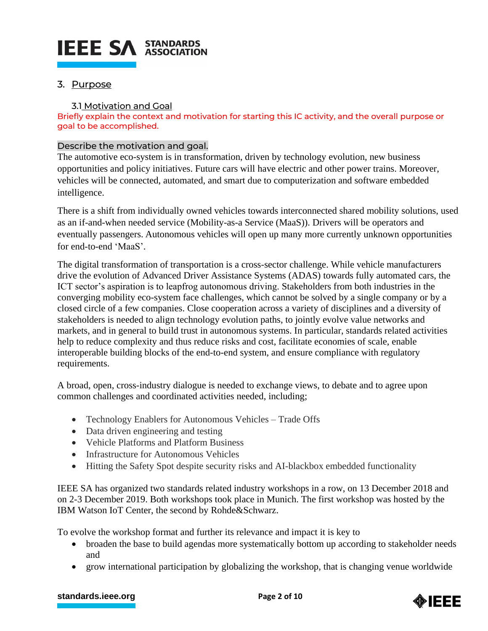# **IEEE SA STANDARDS**

# 3. Purpose

# 3.1 Motivation and Goal

Briefly explain the context and motivation for starting this IC activity, and the overall purpose or goal to be accomplished.

# Describe the motivation and goal.

The automotive eco-system is in transformation, driven by technology evolution, new business opportunities and policy initiatives. Future cars will have electric and other power trains. Moreover, vehicles will be connected, automated, and smart due to computerization and software embedded intelligence.

There is a shift from individually owned vehicles towards interconnected shared mobility solutions, used as an if-and-when needed service (Mobility-as-a Service (MaaS)). Drivers will be operators and eventually passengers. Autonomous vehicles will open up many more currently unknown opportunities for end-to-end 'MaaS'.

The digital transformation of transportation is a cross-sector challenge. While vehicle manufacturers drive the evolution of Advanced Driver Assistance Systems (ADAS) towards fully automated cars, the ICT sector's aspiration is to leapfrog autonomous driving. Stakeholders from both industries in the converging mobility eco-system face challenges, which cannot be solved by a single company or by a closed circle of a few companies. Close cooperation across a variety of disciplines and a diversity of stakeholders is needed to align technology evolution paths, to jointly evolve value networks and markets, and in general to build trust in autonomous systems. In particular, standards related activities help to reduce complexity and thus reduce risks and cost, facilitate economies of scale, enable interoperable building blocks of the end-to-end system, and ensure compliance with regulatory requirements.

A broad, open, cross-industry dialogue is needed to exchange views, to debate and to agree upon common challenges and coordinated activities needed, including;

- Technology Enablers for Autonomous Vehicles Trade Offs
- Data driven engineering and testing
- Vehicle Platforms and Platform Business
- Infrastructure for Autonomous Vehicles
- Hitting the Safety Spot despite security risks and AI-blackbox embedded functionality

IEEE SA has organized two standards related industry workshops in a row, on 13 December 2018 and on 2-3 December 2019. Both workshops took place in Munich. The first workshop was hosted by the IBM Watson IoT Center, the second by Rohde&Schwarz.

To evolve the workshop format and further its relevance and impact it is key to

- broaden the base to build agendas more systematically bottom up according to stakeholder needs and
- grow international participation by globalizing the workshop, that is changing venue worldwide

# **[standards.ieee.org](http://standards.ieee.org/) EXECUTE: Page 2 of 10**

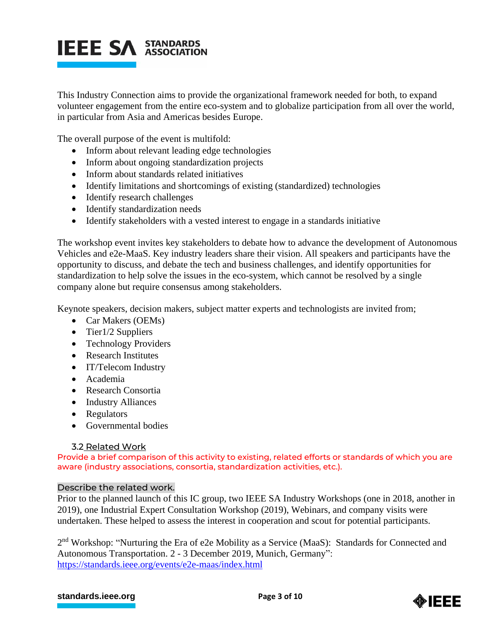

This Industry Connection aims to provide the organizational framework needed for both, to expand volunteer engagement from the entire eco-system and to globalize participation from all over the world, in particular from Asia and Americas besides Europe.

The overall purpose of the event is multifold:

- Inform about relevant leading edge technologies
- Inform about ongoing standardization projects
- Inform about standards related initiatives
- Identify limitations and shortcomings of existing (standardized) technologies
- Identify research challenges
- Identify standardization needs
- Identify stakeholders with a vested interest to engage in a standards initiative

The workshop event invites key stakeholders to debate how to advance the development of Autonomous Vehicles and e2e-MaaS. Key industry leaders share their vision. All speakers and participants have the opportunity to discuss, and debate the tech and business challenges, and identify opportunities for standardization to help solve the issues in the eco-system, which cannot be resolved by a single company alone but require consensus among stakeholders.

Keynote speakers, decision makers, subject matter experts and technologists are invited from;

- Car Makers (OEMs)
- Tier1/2 Suppliers
- Technology Providers
- Research Institutes
- IT/Telecom Industry
- Academia
- Research Consortia
- Industry Alliances
- Regulators
- Governmental bodies

# 3.2 Related Work

Provide a brief comparison of this activity to existing, related efforts or standards of which you are aware (industry associations, consortia, standardization activities, etc.).

# Describe the related work.

Prior to the planned launch of this IC group, two IEEE SA Industry Workshops (one in 2018, another in 2019), one Industrial Expert Consultation Workshop (2019), Webinars, and company visits were undertaken. These helped to assess the interest in cooperation and scout for potential participants.

2<sup>nd</sup> Workshop: "Nurturing the Era of e2e Mobility as a Service (MaaS): Standards for Connected and Autonomous Transportation. 2 - 3 December 2019, Munich, Germany": <https://standards.ieee.org/events/e2e-maas/index.html>

# **[standards.ieee.org](http://standards.ieee.org/) example 2 Page 3** of 10

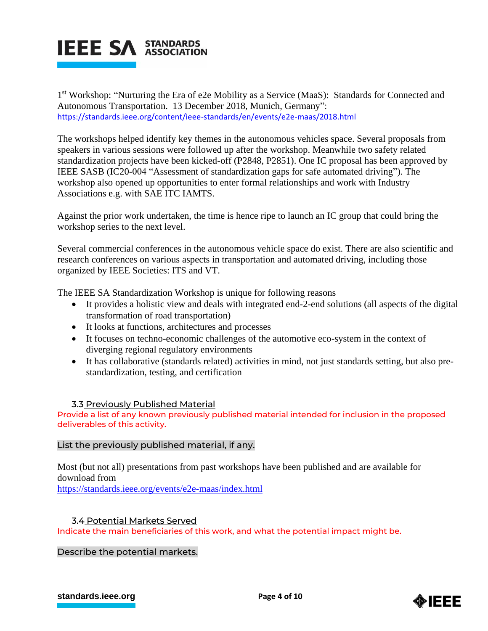

1<sup>st</sup> Workshop: "Nurturing the Era of e2e Mobility as a Service (MaaS): Standards for Connected and Autonomous Transportation. 13 December 2018, Munich, Germany": <https://standards.ieee.org/content/ieee-standards/en/events/e2e-maas/2018.html>

The workshops helped identify key themes in the autonomous vehicles space. Several proposals from speakers in various sessions were followed up after the workshop. Meanwhile two safety related standardization projects have been kicked-off (P2848, P2851). One IC proposal has been approved by IEEE SASB (IC20-004 "Assessment of standardization gaps for safe automated driving"). The workshop also opened up opportunities to enter formal relationships and work with Industry Associations e.g. with SAE ITC IAMTS.

Against the prior work undertaken, the time is hence ripe to launch an IC group that could bring the workshop series to the next level.

Several commercial conferences in the autonomous vehicle space do exist. There are also scientific and research conferences on various aspects in transportation and automated driving, including those organized by IEEE Societies: ITS and VT.

The IEEE SA Standardization Workshop is unique for following reasons

- It provides a holistic view and deals with integrated end-2-end solutions (all aspects of the digital transformation of road transportation)
- It looks at functions, architectures and processes
- It focuses on techno-economic challenges of the automotive eco-system in the context of diverging regional regulatory environments
- It has collaborative (standards related) activities in mind, not just standards setting, but also prestandardization, testing, and certification

# 3.3 Previously Published Material

Provide a list of any known previously published material intended for inclusion in the proposed deliverables of this activity.

# List the previously published material, if any.

Most (but not all) presentations from past workshops have been published and are available for download from

<https://standards.ieee.org/events/e2e-maas/index.html>

# 3.4 Potential Markets Served

Indicate the main beneficiaries of this work, and what the potential impact might be.

Describe the potential markets.

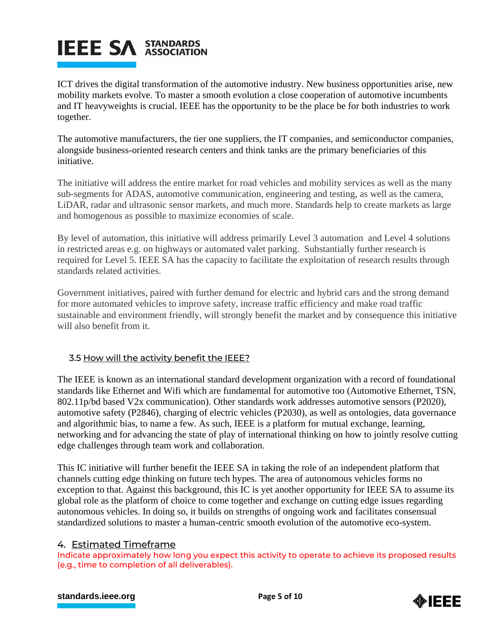# **IEEE SA STANDARDS**

ICT drives the digital transformation of the automotive industry. New business opportunities arise, new mobility markets evolve. To master a smooth evolution a close cooperation of automotive incumbents and IT heavyweights is crucial. IEEE has the opportunity to be the place be for both industries to work together.

The automotive manufacturers, the tier one suppliers, the IT companies, and semiconductor companies, alongside business-oriented research centers and think tanks are the primary beneficiaries of this initiative.

The initiative will address the entire market for road vehicles and mobility services as well as the many sub-segments for ADAS, automotive communication, engineering and testing, as well as the camera, LiDAR, radar and ultrasonic sensor markets, and much more. Standards help to create markets as large and homogenous as possible to maximize economies of scale.

By level of automation, this initiative will address primarily Level 3 automation and Level 4 solutions in restricted areas e.g. on highways or automated valet parking. Substantially further research is required for Level 5. IEEE SA has the capacity to facilitate the exploitation of research results through standards related activities.

Government initiatives, paired with further demand for electric and hybrid cars and the strong demand for more automated vehicles to improve safety, increase traffic efficiency and make road traffic sustainable and environment friendly, will strongly benefit the market and by consequence this initiative will also benefit from it.

# 3.5 How will the activity benefit the IEEE?

The IEEE is known as an international standard development organization with a record of foundational standards like Ethernet and Wifi which are fundamental for automotive too (Automotive Ethernet, TSN, 802.11p/bd based V2x communication). Other standards work addresses automotive sensors (P2020), automotive safety (P2846), charging of electric vehicles (P2030), as well as ontologies, data governance and algorithmic bias, to name a few. As such, IEEE is a platform for mutual exchange, learning, networking and for advancing the state of play of international thinking on how to jointly resolve cutting edge challenges through team work and collaboration.

This IC initiative will further benefit the IEEE SA in taking the role of an independent platform that channels cutting edge thinking on future tech hypes. The area of autonomous vehicles forms no exception to that. Against this background, this IC is yet another opportunity for IEEE SA to assume its global role as the platform of choice to come together and exchange on cutting edge issues regarding autonomous vehicles. In doing so, it builds on strengths of ongoing work and facilitates consensual standardized solutions to master a human-centric smooth evolution of the automotive eco-system.

# 4. Estimated Timeframe

Indicate approximately how long you expect this activity to operate to achieve its proposed results (e.g., time to completion of all deliverables).

# **[standards.ieee.org](http://standards.ieee.org/) EXECUTE: Page 5 of 10**

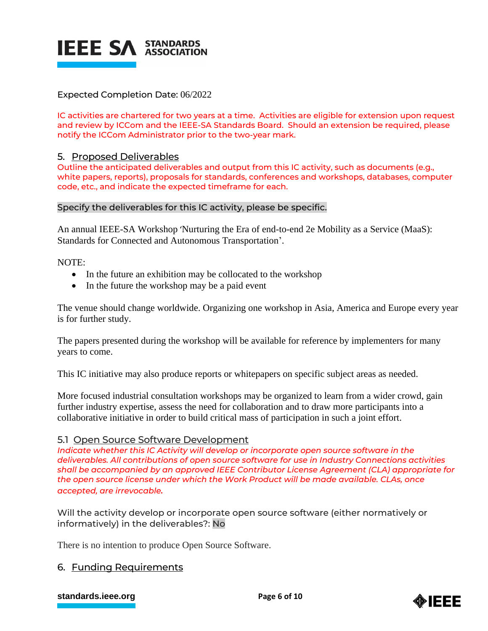

# Expected Completion Date: 06/2022

IC activities are chartered for two years at a time. Activities are eligible for extension upon request and review by ICCom and the IEEE-SA Standards Board. Should an extension be required, please notify the ICCom Administrator prior to the two-year mark.

# 5. Proposed Deliverables

Outline the anticipated deliverables and output from this IC activity, such as documents (e.g., white papers, reports), proposals for standards, conferences and workshops, databases, computer code, etc., and indicate the expected timeframe for each.

# Specify the deliverables for this IC activity, please be specific.

An annual IEEE-SA Workshop 'Nurturing the Era of end-to-end 2e Mobility as a Service (MaaS): Standards for Connected and Autonomous Transportation'.

NOTE:

- In the future an exhibition may be collocated to the workshop
- In the future the workshop may be a paid event

The venue should change worldwide. Organizing one workshop in Asia, America and Europe every year is for further study.

The papers presented during the workshop will be available for reference by implementers for many years to come.

This IC initiative may also produce reports or whitepapers on specific subject areas as needed.

More focused industrial consultation workshops may be organized to learn from a wider crowd, gain further industry expertise, assess the need for collaboration and to draw more participants into a collaborative initiative in order to build critical mass of participation in such a joint effort.

# 5.1 Open Source Software Development

*Indicate whether this IC Activity will develop or incorporate open source software in the deliverables. All contributions of open source software for use in Industry Connections activities shall be accompanied by an approved IEEE Contributor License Agreement (CLA) appropriate for the open source license under which the Work Product will be made available. CLAs, once accepted, are irrevocable.*

Will the activity develop or incorporate open source software (either normatively or informatively) in the deliverables?: No

There is no intention to produce Open Source Software.

# 6. Funding Requirements

#### **[standards.ieee.org](http://standards.ieee.org/) EXECUTE: Page 6 of 10**

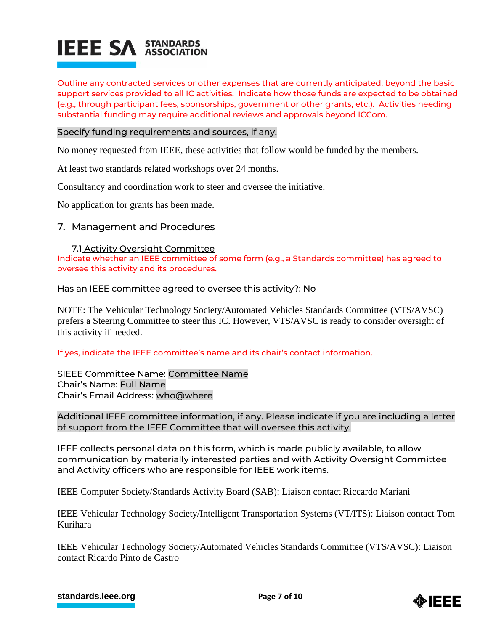

Outline any contracted services or other expenses that are currently anticipated, beyond the basic support services provided to all IC activities. Indicate how those funds are expected to be obtained (e.g., through participant fees, sponsorships, government or other grants, etc.). Activities needing substantial funding may require additional reviews and approvals beyond ICCom.

#### Specify funding requirements and sources, if any.

No money requested from IEEE, these activities that follow would be funded by the members.

At least two standards related workshops over 24 months.

Consultancy and coordination work to steer and oversee the initiative.

No application for grants has been made.

# 7. Management and Procedures

#### 7.1 Activity Oversight Committee

Indicate whether an IEEE committee of some form (e.g., a Standards committee) has agreed to oversee this activity and its procedures.

Has an IEEE committee agreed to oversee this activity?: No

NOTE: The Vehicular Technology Society/Automated Vehicles Standards Committee (VTS/AVSC) prefers a Steering Committee to steer this IC. However, VTS/AVSC is ready to consider oversight of this activity if needed.

If yes, indicate the IEEE committee's name and its chair's contact information.

SIEEE Committee Name: Committee Name Chair's Name: Full Name Chair's Email Address: who@where

Additional IEEE committee information, if any. Please indicate if you are including a letter of support from the IEEE Committee that will oversee this activity.

IEEE collects personal data on this form, which is made publicly available, to allow communication by materially interested parties and with Activity Oversight Committee and Activity officers who are responsible for IEEE work items.

IEEE Computer Society/Standards Activity Board (SAB): Liaison contact Riccardo Mariani

IEEE Vehicular Technology Society/Intelligent Transportation Systems (VT/ITS): Liaison contact Tom Kurihara

IEEE Vehicular Technology Society/Automated Vehicles Standards Committee (VTS/AVSC): Liaison contact Ricardo Pinto de Castro

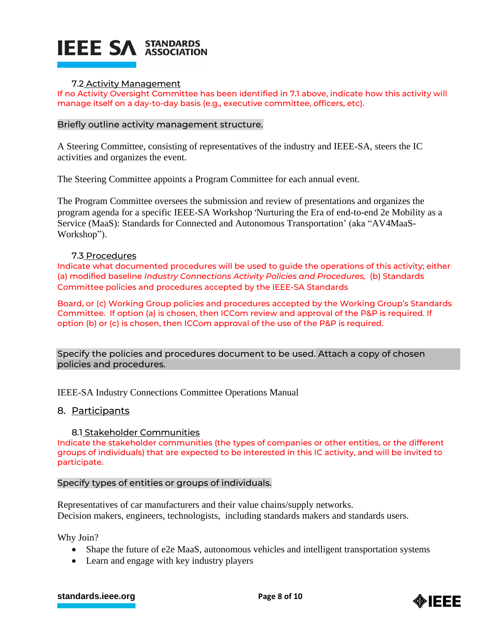

# 7.2 Activity Management

If no Activity Oversight Committee has been identified in 7.1 above, indicate how this activity will manage itself on a day-to-day basis (e.g., executive committee, officers, etc).

#### Briefly outline activity management structure.

A Steering Committee, consisting of representatives of the industry and IEEE-SA, steers the IC activities and organizes the event.

The Steering Committee appoints a Program Committee for each annual event.

The Program Committee oversees the submission and review of presentations and organizes the program agenda for a specific IEEE-SA Workshop 'Nurturing the Era of end-to-end 2e Mobility as a Service (MaaS): Standards for Connected and Autonomous Transportation' (aka "AV4MaaS-Workshop").

#### 7.3 Procedures

Indicate what documented procedures will be used to guide the operations of this activity; either (a) modified baseline *Industry Connections Activity Policies and Procedures,* (b) Standards Committee policies and procedures accepted by the IEEE-SA Standards

Board, or (c) Working Group policies and procedures accepted by the Working Group's Standards Committee. If option (a) is chosen, then ICCom review and approval of the P&P is required. If option (b) or (c) is chosen, then ICCom approval of the use of the P&P is required.

Specify the policies and procedures document to be used. Attach a copy of chosen policies and procedures.

IEEE-SA Industry Connections Committee Operations Manual

8. Participants

8.1 Stakeholder Communities

Indicate the stakeholder communities (the types of companies or other entities, or the different groups of individuals) that are expected to be interested in this IC activity, and will be invited to participate.

# Specify types of entities or groups of individuals.

Representatives of car manufacturers and their value chains/supply networks. Decision makers, engineers, technologists, including standards makers and standards users.

Why Join?

- Shape the future of e2e MaaS, autonomous vehicles and intelligent transportation systems
- Learn and engage with key industry players

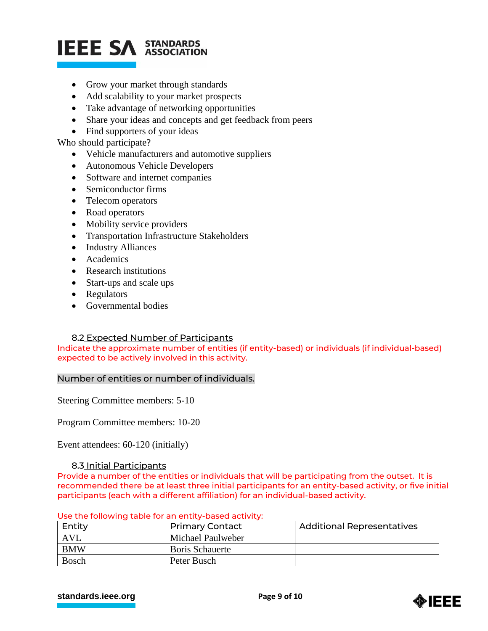# **IEEE SA STANDARDS**

- Grow your market through standards
- Add scalability to your market prospects
- Take advantage of networking opportunities
- Share your ideas and concepts and get feedback from peers
- Find supporters of your ideas

Who should participate?

- Vehicle manufacturers and automotive suppliers
- Autonomous Vehicle Developers
- Software and internet companies
- Semiconductor firms
- Telecom operators
- Road operators
- Mobility service providers
- Transportation Infrastructure Stakeholders
- Industry Alliances
- Academics
- Research institutions
- Start-ups and scale ups
- Regulators
- Governmental bodies

# 8.2 Expected Number of Participants

Indicate the approximate number of entities (if entity-based) or individuals (if individual-based) expected to be actively involved in this activity.

# Number of entities or number of individuals.

Steering Committee members: 5-10

Program Committee members: 10-20

Event attendees: 60-120 (initially)

# 8.3 Initial Participants

Provide a number of the entities or individuals that will be participating from the outset. It is recommended there be at least three initial participants for an entity-based activity, or five initial participants (each with a different affiliation) for an individual-based activity.

| Entity       | <b>Primary Contact</b> | <b>Additional Representatives</b> |  |
|--------------|------------------------|-----------------------------------|--|
| AVL          | Michael Paulweber      |                                   |  |
| <b>BMW</b>   | <b>Boris Schauerte</b> |                                   |  |
| <b>Bosch</b> | Peter Busch            |                                   |  |

Use the following table for an entity-based activity:

#### **[standards.ieee.org](http://standards.ieee.org/) EXECUTE: Page 9 of 10**